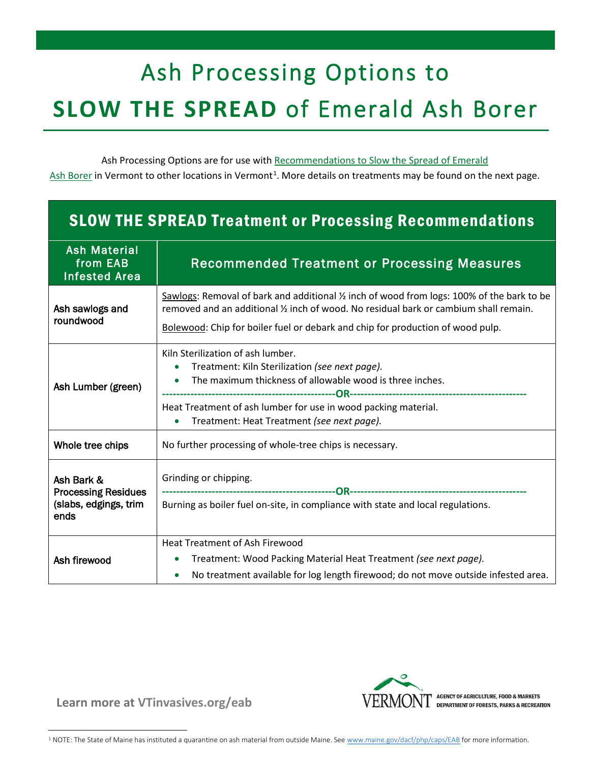# Ash Processing Options to **SLOW THE SPREAD** of Emerald Ash Borer

Ash Processing Options are for use with [Recommendations to Slow the Spread of Emerald](https://vtinvasives.org/sites/default/files/images/SlowSpreadWoodVT.pdf) [Ash Borer](https://vtinvasives.org/sites/default/files/images/SlowSpreadWoodVT.pdf) in Vermont to other locations in Vermont<sup>[1](#page-0-0)</sup>. More details on treatments may be found on the next page.

## SLOW THE SPREAD Treatment or Processing Recommendations

| <b>Ash Material</b><br>from EAB<br><b>Infested Area</b>                   | Recommended Treatment or Processing Measures                                                                                                                                                                                                                                    |  |  |  |  |
|---------------------------------------------------------------------------|---------------------------------------------------------------------------------------------------------------------------------------------------------------------------------------------------------------------------------------------------------------------------------|--|--|--|--|
| Ash sawlogs and<br>roundwood                                              | Sawlogs: Removal of bark and additional 1/2 inch of wood from logs: 100% of the bark to be<br>removed and an additional $\frac{1}{2}$ inch of wood. No residual bark or cambium shall remain.<br>Bolewood: Chip for boiler fuel or debark and chip for production of wood pulp. |  |  |  |  |
| Ash Lumber (green)                                                        | Kiln Sterilization of ash lumber.<br>Treatment: Kiln Sterilization (see next page).<br>The maximum thickness of allowable wood is three inches.<br>Heat Treatment of ash lumber for use in wood packing material.<br>Treatment: Heat Treatment (see next page).                 |  |  |  |  |
| Whole tree chips                                                          | No further processing of whole-tree chips is necessary.                                                                                                                                                                                                                         |  |  |  |  |
| Ash Bark &<br><b>Processing Residues</b><br>(slabs, edgings, trim<br>ends | Grinding or chipping.<br>Burning as boiler fuel on-site, in compliance with state and local regulations.                                                                                                                                                                        |  |  |  |  |
| Ash firewood                                                              | <b>Heat Treatment of Ash Firewood</b><br>Treatment: Wood Packing Material Heat Treatment (see next page).<br>No treatment available for log length firewood; do not move outside infested area.                                                                                 |  |  |  |  |



**Learn more at [VTinvasives.org/eab](http://www.vtinvasives.org/eab)**

<span id="page-0-0"></span><sup>&</sup>lt;sup>1</sup> NOTE: The State of Maine has instituted a quarantine on ash material from outside Maine. See [www.maine.gov/dacf/php/caps/EAB](http://www.maine.gov/dacf/php/caps/EAB) for more information.